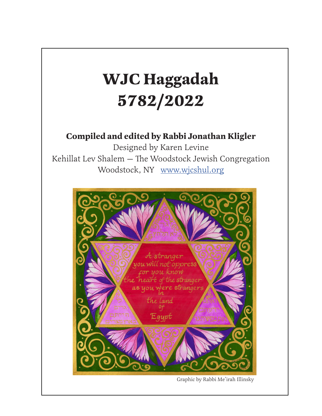# **WJC Haggadah 5782/2022**

### **Compiled and edited by Rabbi Jonathan Kligler**

Designed by Karen Levine Kehillat Lev Shalem — The Woodstock Jewish Congregation Woodstock, NY www.wjcshul.org

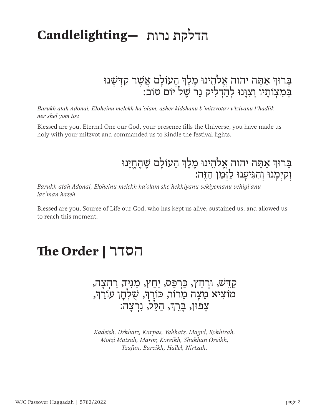# **הדלקת נרות —Candlelighting**

# בְּרוּךְ אַתָּה יהוה אֱלֹהֵינוּ מֶלֶךְ הָעוֹלָם אֲשֶׁר קִדְשָׁנוּ<br>בִּמְצִוֹתֲיו וְצִוָּנוּ לִהַדְלִיק נֵר שֵׁל יוֹם טוֹב:

*Barukh atah Adonai, Eloheinu melekh ha'olam, asher kidshanu b'mitzvotav v'tzivanu l'hadlik ner shel yom tov.*

Blessed are you, Eternal One our God, your presence fills the Universe, you have made us holy with your mitzvot and commanded us to kindle the festival lights.

# בְּרוּךְ אַתָּה יהוה אֱלֹהֵינוּ מֶלֶךְ הָעוֹלָם שֶׁהֶחֱיָנוּ<br>וְקִיָּמְנוּ וְהִגִּיעָנוּ לַזְּמַן הַזֵּה:

*Barukh atah Adonai, Eloheinu melekh ha'olam she'hekhiyanu vekiyemanu vehigi'anu laz'man hazeh.*

Blessed are you, Source of Life our God, who has kept us alive, sustained us, and allowed us to reach this moment.

# **The Order | הסדר**

# קַדֵ<sup>ּ</sup>שׁ, וּרְחַץ, כַּרְפַּס, יַחַץ, מַגִּי<sub>ָ</sub>ד, רַחְצְה, מוֹצִיא מַצְה מְרוֹר, כּוֹרֶךְ, שָׁלְחָן עֹוֹרֵךְ,<br>צְפוּן, בְּרֵךְ, הַלֵּל, נִרְצָה:

*Kadeish, Urkhatz, Karpas, Yakhatz, Magid, Rokhtzah, Motzi Matzah, Maror, Koreikh, Shukhan Oreikh, Tzafun, Bareikh, Hallel, Nirtzah.*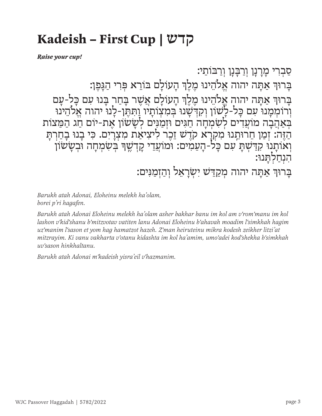# **Kadeish – First Cup | קדש**

*Raise your cup!*

ַ כַּבְרִי מַרָנָן וְרַבְּנָן וְרַבּוֹתַי: ּבַּרוּךְ אַתֲה יהוה אֵלֹהֵינוּ מֵלֵךְ הַעֹוֹלָם בּוֹרֵא פִּרִי הַגָּפֵן: בָרוּךְ אַתָּה יהוה אֱלֹהֵינוּ מֶלֶךְ הָעוֹלָם אֲשֶׁר בְּחַר בְּנוּ עִם כְּל-עָם וְ רֹוֹמְמָנוּ עִם כָּל-לָשׁוֹן וְקִדְשָׁנוּ בְמִצְוֹתָיו וַתִּתֶּן-לָנוּ יהוה אֱלֹהֵינוּ בְאַהֲבָה מוֹעֲדִים לְשִׁמְחָה חַגִּים וּזְמַנִּים לְשָׁשׂוֹן אֶת-יוֹם חַג הַמַּצוֹת<br>הַזֶּה: זְמַן חֵרוּהֵנוּ מִקְרָא קֹדֶשׁ זֵכֶר לִיצִיאַת מִצְרָיִם. כִּי בְנוּ בְחַרְתָּ הַזֶּה: וְמַן חֵרוּתֵנוּ מִקְרָא קֹדֶשׁ זֵכֶר לִיצִיאַת מִצְרָיִם. כִּי בְנוּ בְחַרְתָּ<br>וְאוֹתָנוּ קִדַּשְׁתָּ עִם כָּל-הָעַמִים: וּמוֹעֲדֵי קִדְשֶׁךָּ בְּשִׂמְחָה וּבְשָׂשֹוֹן<br>הנחלתנוּ:

ּבְרוּךְ אַתָּה יהוה מִקַדֵּשׁ יִשְׂרַאֵל וְהַזִמַּנִּים:

*Barukh atah Adonai, Eloheinu melekh ha'olam, borei p'ri hagafen.*

*Barukh atah Adonai Eloheinu melekh ha'olam asher bakhar banu im kol am v׳rom׳manu im kol lashon v׳kid׳shanu b׳mitzvotav vatiten lanu Adonai Eloheinu b׳ahavah moadim l׳simkhah hagim uz׳manim l׳sason et yom hag hamatzot hazeh. Z׳man heiruteinu mikra kodesh zeikher litzi'at mitzrayim. Ki vanu vakharta v׳otanu kidashta im kol ha'amim, umo׳adei kod׳shekha b׳simkhah uv׳sason hinkhaltanu.*

*Barukh atah Adonai m׳kadeish yisra'eil v׳hazmanim.*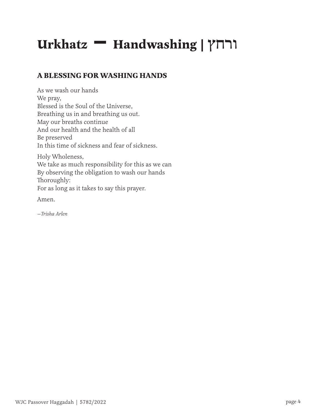# **Urkhatz – Handwashing | ורחץ**

#### **A BLESSING FOR WASHING HANDS**

As we wash our hands We pray, Blessed is the Soul of the Universe, Breathing us in and breathing us out. May our breaths continue And our health and the health of all Be preserved In this time of sickness and fear of sickness. Holy Wholeness, We take as much responsibility for this as we can By observing the obligation to wash our hands Thoroughly: For as long as it takes to say this prayer.

Amen.

*—Trisha Arlen*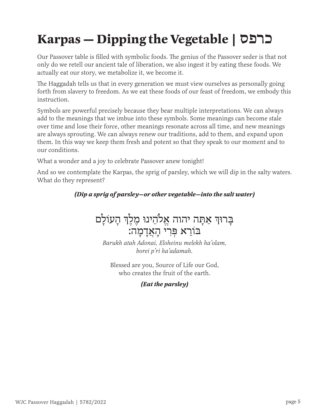# **Karpas — Dipping the Vegetable | כרפס**

Our Passover table is filled with symbolic foods. The genius of the Passover seder is that not only do we retell our ancient tale of liberation, we also ingest it by eating these foods. We actually eat our story, we metabolize it, we become it.

The Haggadah tells us that in every generation we must view ourselves as personally going forth from slavery to freedom. As we eat these foods of our feast of freedom, we embody this instruction.

Symbols are powerful precisely because they bear multiple interpretations. We can always add to the meanings that we imbue into these symbols. Some meanings can become stale over time and lose their force, other meanings resonate across all time, and new meanings are always sprouting. We can always renew our traditions, add to them, and expand upon them. In this way we keep them fresh and potent so that they speak to our moment and to our conditions.

What a wonder and a joy to celebrate Passover anew tonight!

And so we contemplate the Karpas, the sprig of parsley, which we will dip in the salty waters. What do they represent?

#### *(Dip a sprig of parsley—or other vegetable—into the salt water)*

## בַרוּךְ אַתַּה יהוה אֵלֹהֵינוּ מֶלֶךְ הָעוֹלָם ּבּוֹרֵא פְּרִי הָאֲדָמָה:

*Barukh atah Adonai, Eloheinu melekh ha'olam, borei p'ri ha'adamah.*

Blessed are you, Source of Life our God, who creates the fruit of the earth.

*(Eat the parsley)*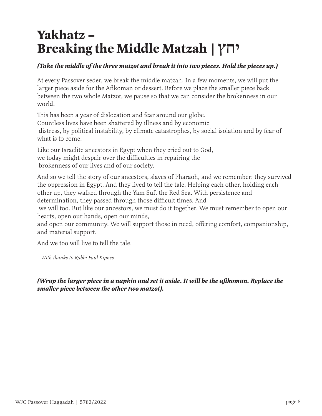# **Yakhatz – Breaking the Middle Matzah | יחץ**

#### *(Take the middle of the three matzot and break it into two pieces. Hold the pieces up.)*

At every Passover seder, we break the middle matzah. In a few moments, we will put the larger piece aside for the Afikoman or dessert. Before we place the smaller piece back between the two whole Matzot, we pause so that we can consider the brokenness in our world.

This has been a year of dislocation and fear around our globe. Countless lives have been shattered by illness and by economic distress, by political instability, by climate catastrophes, by social isolation and by fear of what is to come.

Like our Israelite ancestors in Egypt when they cried out to God, we today might despair over the difficulties in repairing the brokenness of our lives and of our society.

And so we tell the story of our ancestors, slaves of Pharaoh, and we remember: they survived the oppression in Egypt. And they lived to tell the tale. Helping each other, holding each other up, they walked through the Yam Suf, the Red Sea. With persistence and determination, they passed through those difficult times. And

 we will too. But like our ancestors, we must do it together. We must remember to open our hearts, open our hands, open our minds,

and open our community. We will support those in need, offering comfort, companionship, and material support.

And we too will live to tell the tale.

*—With thanks to Rabbi Paul Kipnes* 

*(Wrap the larger piece in a napkin and set it aside. It will be the afikoman. Replace the smaller piece between the other two matzot).*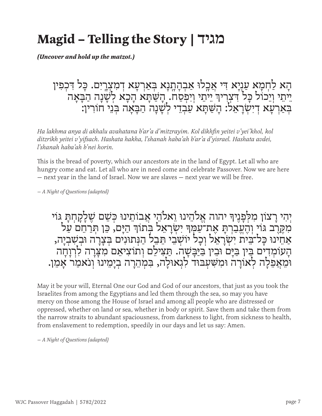# **Magid – Telling the Story | מגיד**

*(Uncover and hold up the matzot.)*

### הָא לַחְמְא עַנְיָא דִּי אֲכְלוּ אַבְהָתְנָא בְּאַרְעָא דְמִצְרֵיִם. כָּל דִּכְפִין יֵיתֵ י וְ יֵכֹול ּכָ ל ּד ִ צְ רִ יְך יֵיתֵ י וְ יִפְ סַ ח. הָ ּׁשַ ּתָ א הָ כָ א לְ ׁשָ נָה הַ ּבָ אָ ה ָ בְּאֲרְעָא דְיִשְׁרַאֵל: הַשָּׁתַּא עַבְדֵי לְשַׁנַה הַבַּאֲה בְּנֵי חֹורִין:

*Ha lakhma anya di akhalu avahatana b'ar'a d'mitzrayim. Kol dikhfin yeitei v'yei'khol, kol ditzrikh yeitei v'yifsach. Hashata hakha, l'shanah haba'ah b'ar'a d'yisrael. Hashata avdei, l'shanah haba'ah b'nei horin.*

This is the bread of poverty, which our ancestors ate in the land of Egypt. Let all who are hungry come and eat. Let all who are in need come and celebrate Passover. Now we are here — next year in the land of Israel. Now we are slaves — next year we will be free.

*— A Night of Questions (adapted)*

יְהִי רָצוֹן מִלְפָנֶיךּ יהוה אֱלֹהֵינוּ וֵאלֹהֵי אֲבוֹתֵינוּ כְּשֵׁם שֶׁלָקְחְתָּ גּוֹי ؗۻקֶרֶב גּוֹי וְהֶעֱבַרְתָּ אֶת־עַמְּךָ יִשְׂרָאֵל בְּתוֹךְ הַיָּם, כֵּן תְּרַחֵם עַל<br>אַחֵינוּ כָּל־בֵּית יִשְׂרָאֵל וְכָל יוֹשְׁבֵי תֵּבֵל הַנְּתוּנִים בְּצָרָה וּבְשָׁבְיָה,<br>הָעוֹמְדִים בֵּין בַּיָּם וּבִין בַּיַּבְשָׁה ּהָעוֹמְדִים בֵּין בַּיָּם וּבִין בַּיַּבְּשָׁה. תַּצִילֵם וְתוֹצִיאֵם מִצְּרָה לִרְוָחָה<br>וּמֵאֲפֵלַה לִאוֹרַה וּמִשִּׁעִבּוּד לִגְאוּלַה, בִּמְהֶרַה בִיַמֵינוּ וְנֹאמַר אַמֵן.

May it be your will, Eternal One our God and God of our ancestors, that just as you took the Israelites from among the Egyptians and led them through the sea, so may you have mercy on those among the House of Israel and among all people who are distressed or oppressed, whether on land or sea, whether in body or spirit. Save them and take them from the narrow straits to abundant spaciousness, from darkness to light, from sickness to health, from enslavement to redemption, speedily in our days and let us say: Amen.

*— A Night of Questions (adapted)*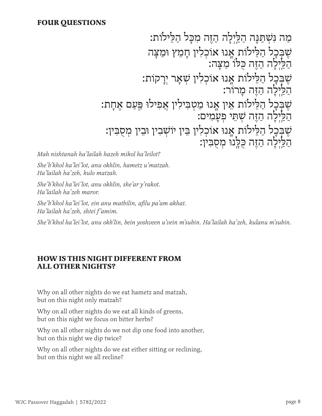מַה וִּשָּׁתַּנָּה הַלֵּיִלָה הַזֶּה מִכָּל הַלֵּילֹות: ּשֶׁבְּכָל הַלֵּילֹות אֲנוּ אוֹכְלִין חָמֵץ וּמַצָּה<br>הַלֵּיְלַה הַזֶּה כִּלֹוֹ מַצַּה: ּשֶׁבְּכָל הַלֵּילוֹת אֲנוּ אוֹכְלִין שְׁאָר יְרָקוֹת:<br>הַלֵּיְלַה הַזֵּה מַרוֹר: שֶׁבְּכְל הַלֵּילוֹת אֵין אֲנוּ מַטְבִּילִין אֲפִילוּ פִּעַם אֶחָת:<br>הַלֵּיְלָה הַזֶּה שִׁתֵּי פִעֲמִים: ֹשֶׁבְּכָל הַלֵּילֹוֹת אֲנוּ אוֹכְלִין בֵּין יוֹשָׁבִין וּבֵין מְסֻבִּין:<br>הַלֵּיְלָה הַזֵּה כִּלֵּנוּ מִסְבִּין:

*Mah nishtanah ha'lailah hazeh mikol ha'leilot? She'b'khol ha'lei'lot, anu okhlin, hametz u'matzah. Ha'lailah ha'zeh, kulo matzah.*

*She'b'khol ha'lei'lot, anu okhlin, she'ar y'rakot. Ha'lailah ha'zeh maror.*

*She'b'khol ha'lei'lot, ein anu matbilin, afilu pa'am akhat. Ha'lailah ha'zeh, shtei f'amim.*

*She'b'khol ha'lei'lot, anu okh'lin, bein yoshveen u'vein m'subin. Ha'lailah ha'zeh, kulanu m'subin.*

#### **HOW IS THIS NIGHT DIFFERENT FROM ALL OTHER NIGHTS?**

Why on all other nights do we eat hametz and matzah, but on this night only matzah?

Why on all other nights do we eat all kinds of greens, but on this night we focus on bitter herbs?

Why on all other nights do we not dip one food into another, but on this night we dip twice?

Why on all other nights do we eat either sitting or reclining, but on this night we all recline?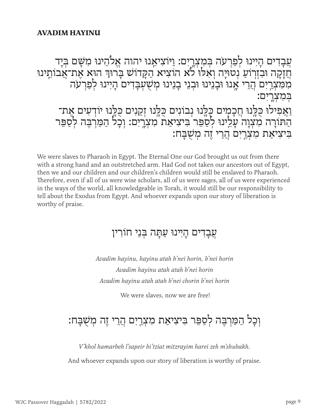עֲבָדִים הָיִינוּ לְפַרְעֹה בְּמִצְרֵיִם: וַיּּוֹצִיאֵנוּ יהוה אֱלֹהֵינוּ מִשָּׁם בְּיָד הַ דְּנְהָ וּבִזְרוֹעַ נְסִוּיָה וְאִלוּ לֹא הוֹצִיא הַקְדוֹשׁ בְּרוּךְ הוּא אֶת־אֲבוֹהֵינוּ<br>מִמְּצְרַיִם הֲרֵי אֲנוּ וּבָנִינוּ וּבִנִי בָנִינוּ מִשְׁעִבַּדִים הַיִּינוּ לִפַרְעֹה בִמְצְרֵיִם: וַ אֲפִילוּ כֻּלֲנוּ חֲכָמִים כֻּלֵּנוּ נְבוֹנִים כֻּלֵּנוּ זְקֵנִים כֻּלֵּנוּ יוֹדְעִים אֶת־ הַתּוֹרָה מִצְוָה עָלֵינוּ לְסַפֵּר בִּיצִיאַת מִצְרֵיִם: וִכָּל הַמַּרִבֵּה לִסַפֵּר בִיצִיאַת מִצְרֵיִם הֲרֵי זֶה מְשָׁבַח:

We were slaves to Pharaoh in Egypt. The Eternal One our God brought us out from there with a strong hand and an outstretched arm. Had God not taken our ancestors out of Egypt, then we and our children and our children's children would still be enslaved to Pharaoh. Therefore, even if all of us were wise scholars, all of us were sages, all of us were experienced in the ways of the world, all knowledgeable in Torah, it would still be our responsibility to tell about the Exodus from Egypt. And whoever expands upon our story of liberation is worthy of praise.

### עֲבַדִים הַיִּינוּ עַתֲה בְּנֵי חוֹרִין

*Avadim hayinu, hayinu atah b'nei horin, b'nei horin Avadim hayinu atah atah b'nei horin Avadim hayinu atah atah b'nei chorin b'nei horin* We were slaves, now we are free!

# וִכְל הַמַּרְבֶּה לְסַפֵּר בִּיצִיאַת מִצְרֵיִם הֲרֵי זֶה מִשָּׁבַח:

*V'khol hamarbeh l'sapeir bi'tziat mitzrayim harei zeh m'shubakh.*

And whoever expands upon our story of liberation is worthy of praise.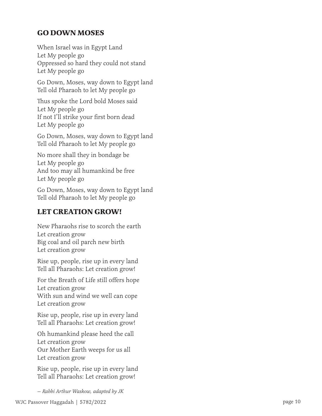#### **GO DOWN MOSES**

When Israel was in Egypt Land Let My people go Oppressed so hard they could not stand Let My people go

Go Down, Moses, way down to Egypt land Tell old Pharaoh to let My people go

Thus spoke the Lord bold Moses said Let My people go If not I'll strike your first born dead Let My people go

Go Down, Moses, way down to Egypt land Tell old Pharaoh to let My people go

No more shall they in bondage be Let My people go And too may all humankind be free Let My people go

Go Down, Moses, way down to Egypt land Tell old Pharaoh to let My people go

#### **LET CREATION GROW!**

New Pharaohs rise to scorch the earth Let creation grow Big coal and oil parch new birth Let creation grow

Rise up, people, rise up in every land Tell all Pharaohs: Let creation grow!

For the Breath of Life still offers hope Let creation grow With sun and wind we well can cope Let creation grow

Rise up, people, rise up in every land Tell all Pharaohs: Let creation grow!

Oh humankind please heed the call Let creation grow Our Mother Earth weeps for us all Let creation grow

Rise up, people, rise up in every land Tell all Pharaohs: Let creation grow!

*— Rabbi Arthur Waskow, adapted by JK*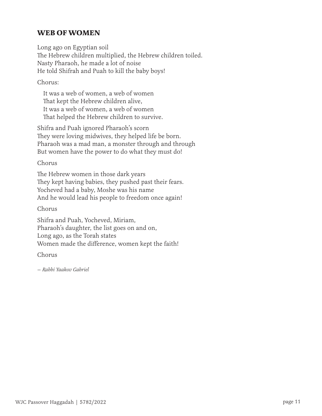#### **WEB OF WOMEN**

Long ago on Egyptian soil The Hebrew children multiplied, the Hebrew children toiled. Nasty Pharaoh, he made a lot of noise He told Shifrah and Puah to kill the baby boys!

#### Chorus:

It was a web of women, a web of women That kept the Hebrew children alive, It was a web of women, a web of women That helped the Hebrew children to survive.

Shifra and Puah ignored Pharaoh's scorn They were loving midwives, they helped life be born. Pharaoh was a mad man, a monster through and through But women have the power to do what they must do!

#### Chorus

The Hebrew women in those dark years They kept having babies, they pushed past their fears. Yocheved had a baby, Moshe was his name And he would lead his people to freedom once again!

#### Chorus

Shifra and Puah, Yocheved, Miriam, Pharaoh's daughter, the list goes on and on, Long ago, as the Torah states Women made the difference, women kept the faith!

#### Chorus

*— Rabbi Yaakov Gabriel*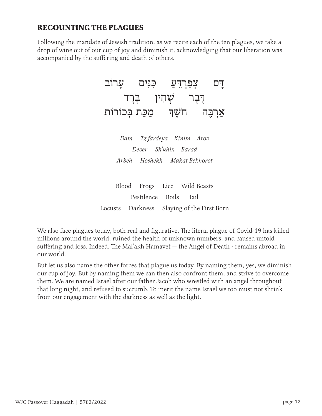#### **RECOUNTING THE PLAGUES**

Following the mandate of Jewish tradition, as we recite each of the ten plagues, we take a drop of wine out of our cup of joy and diminish it, acknowledging that our liberation was accompanied by the suffering and death of others.

> דָם *צְבַּרְדֵּעַ כִּנִּים עַרוֹב* דֶבֶר שְׁחִין בְּרָד אַרְבֶּה חֹשֶׁןּ<sup>ָ</sup> מַכַּת<sup>ָ</sup>בְּכוֹרוֹת

> > *Dam Tz'fardeya Kinim Arov Dever Sh'khin Barad Arbeh Hoshekh Makat Bekhorot*

Blood Frogs Lice Wild Beasts Pestilence Boils Hail Locusts Darkness Slaying of the First Born

We also face plagues today, both real and figurative. The literal plague of Covid-19 has killed millions around the world, ruined the health of unknown numbers, and caused untold suffering and loss. Indeed, The Mal'akh Hamavet — the Angel of Death - remains abroad in our world.

But let us also name the other forces that plague us today. By naming them, yes, we diminish our cup of joy. But by naming them we can then also confront them, and strive to overcome them. We are named Israel after our father Jacob who wrestled with an angel throughout that long night, and refused to succumb. To merit the name Israel we too must not shrink from our engagement with the darkness as well as the light.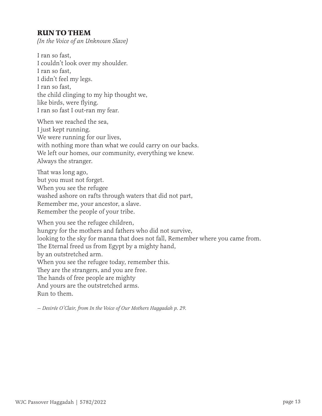#### **RUN TO THEM**

*(In the Voice of an Unknown Slave)*

I ran so fast, I couldn't look over my shoulder. I ran so fast, I didn't feel my legs. I ran so fast, the child clinging to my hip thought we, like birds, were flying. I ran so fast I out-ran my fear.

When we reached the sea, I just kept running. We were running for our lives, with nothing more than what we could carry on our backs. We left our homes, our community, everything we knew. Always the stranger.

That was long ago, but you must not forget. When you see the refugee washed ashore on rafts through waters that did not part, Remember me, your ancestor, a slave. Remember the people of your tribe.

When you see the refugee children, hungry for the mothers and fathers who did not survive, looking to the sky for manna that does not fall, Remember where you came from. The Eternal freed us from Egypt by a mighty hand, by an outstretched arm. When you see the refugee today, remember this. They are the strangers, and you are free. The hands of free people are mighty And yours are the outstretched arms. Run to them.

*— Desirée O'Clair, from In the Voice of Our Mothers Haggadah p. 29.*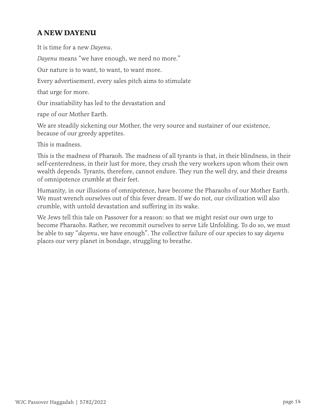#### **A NEW DAYENU**

It is time for a new *Dayenu*.

*Dayenu* means "we have enough, we need no more."

Our nature is to want, to want, to want more.

Every advertisement, every sales pitch aims to stimulate

that urge for more.

Our insatiability has led to the devastation and

rape of our Mother Earth.

We are steadily sickening our Mother, the very source and sustainer of our existence, because of our greedy appetites.

This is madness.

This is the madness of Pharaoh. The madness of all tyrants is that, in their blindness, in their self-centeredness, in their lust for more, they crush the very workers upon whom their own wealth depends. Tyrants, therefore, cannot endure. They run the well dry, and their dreams of omnipotence crumble at their feet.

Humanity, in our illusions of omnipotence, have become the Pharaohs of our Mother Earth. We must wrench ourselves out of this fever dream. If we do not, our civilization will also crumble, with untold devastation and suffering in its wake.

We Jews tell this tale on Passover for a reason: so that we might resist our own urge to become Pharaohs. Rather, we recommit ourselves to serve Life Unfolding. To do so, we must be able to say "*dayenu*, we have enough". The collective failure of our species to say *dayenu* places our very planet in bondage, struggling to breathe.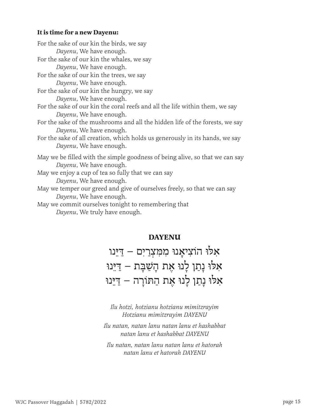#### **It is time for a new Dayenu:**

For the sake of our kin the birds, we say *Dayenu*, We have enough. For the sake of our kin the whales, we say *Dayenu*, We have enough. For the sake of our kin the trees, we say *Dayenu*, We have enough. For the sake of our kin the hungry, we say *Dayenu*, We have enough. For the sake of our kin the coral reefs and all the life within them, we say *Dayenu*, We have enough. For the sake of the mushrooms and all the hidden life of the forests, we say *Dayenu*, We have enough. For the sake of all creation, which holds us generously in its hands, we say *Dayenu*, We have enough. May we be filled with the simple goodness of being alive, so that we can say *Dayenu*, We have enough. May we enjoy a cup of tea so fully that we can say *Dayenu*, We have enough.

May we temper our greed and give of ourselves freely, so that we can say *Dayenu*, We have enough.

May we commit ourselves tonight to remembering that

*Dayenu*, We truly have enough.

#### **DAYENU**

אִלּוּ הוֹצִיאָנוּ מִמְּצְרַיִם – דַיֵּנו אִלּוּ נָתַן לָנוּ אֶת הָשַׁבָּת – דַיֵּנוּ אִלּוּ נָתַן לָנוּ אֶת הַתּוֹרָה – דַיֵּנוּ

*Ilu hotzi, hotzianu hotzianu mimitzrayim Hotzianu mimitzrayim DAYENU* 

*Ilu natan, natan lanu natan lanu et hashabbat natan lanu et hashabbat DAYENU* 

*Ilu natan, natan lanu natan lanu et hatorah natan lanu et hatorah DAYENU*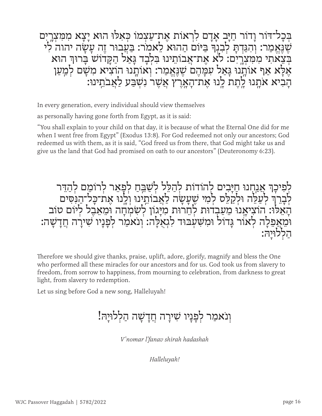בְּכָל־דּוֹר וָדוֹר חַיָּב אָדָם לִרְאוֹת אֶת־עַצְמוֹ כְּאִלּוּ הוּא יָצָא מִמִּצְרְיָם<br>שֶׁנֶּאֱמַר: וְהִנִּדְתָּ לְבִנְךָּ בַּיּוֹם הַהוּא לֵאמַר: בַּעֲבוּר זֶה עָשָׂה יהוה לִי בְּצָאתִי מִמִּצְרְיִם: לֹא אֶת־אֲבוֹתֵינוּ בִּלְבָד גָּאַל הַקָּדוֹשׁ בְּרוּךְ הוּא<br>אֶלָּא אַף אוֹהְנוּ גָּאַל עִמְּהֶם שֶׁנֶּאֶמַר: וְאוֹהְנוּ הוֹצִיא מִשָּׁם לְמַעַן<br>הָבִיא אֹהֳנוּ לֶהֶת לְנוּ אֶת־הָאָרֶץ אֲשֶׁר נִשְּׁ

In every generation, every individual should view themselves

as personally having gone forth from Egypt, as it is said:

"You shall explain to your child on that day, it is because of what the Eternal One did for me when I went free from Egypt" (Exodus 13:8). For God redeemed not only our ancestors; God redeemed us with them, as it is said, "God freed us from there, that God might take us and give us the land that God had promised on oath to our ancestors" (Deuteronomy 6:23).

# לָפִיכָךְ אֲנִחְנוּ חַיְּבִים לְהוֹדוֹת לְהַלֵּל לְשַׁבֵּחַ לְפָאֵר לְרוֹמֵם לְהַדֵּר לְבָרֵךְ לְעַלֵּה וּלְקַלֵּס לְמִי שֶׁעָשָׂה לַאֲבוֹתֵינוּ וְלֵנוּ אֶת־כָּל־הַנִּסִּים<br>הָאֵלּוּ: הוֹצִיאֲנוּ מֵעַבְדוּת לְחֵרוּת מִיְּגוֹן לְשִׂמְחָה וּמֵאֵבֶל לְיוֹם טוֹב<br>וּמֵאֲפֵלָה לְאוֹר גָּדוֹל וּמִשִּׁעְבּוּד לִגְאָ

Therefore we should give thanks, praise, uplift, adore, glorify, magnify and bless the One who performed all these miracles for our ancestors and for us. God took us from slavery to freedom, from sorrow to happiness, from mourning to celebration, from darkness to great light, from slavery to redemption.

Let us sing before God a new song, Halleluyah!

# וְנֹאמַר לְפַנַיו שִׁירַה חֲדַשָּׁה הַלְלוּיַה**!**

*V'nomar l'fanav shirah hadashah* 

*Halleluyah!*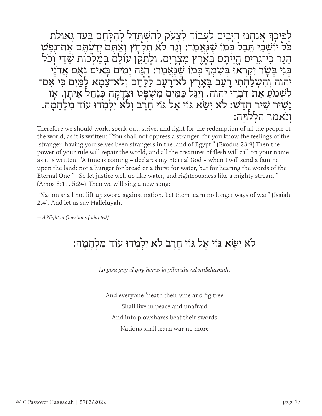לְפִיכְךָ אֲנַחְנוּ חַיָּבִים לַעֲבוֹד לִצְעֹק לְהִשְׁתַּדֵּל לְהִלְחֵם בְּעַד גְאוּלַת<br>בֹל יוֹשָׁבֵי תֵּבֵל כִּמוֹ שֶׁנֵּאֵמַר: וְגֵר לֹא תְלִחַץ וְאַתֵּם יִדַעְתֵּם אֶת־נֶפֵּשׁ הַגֵּר כִּי־גֵרִים הֱיִיתֶם בְּאֶרֶץ מִצְרָיִם. וּלְתַקֵּן עֹוֹלַם בִּמַלְכוּת שַׁדַּי וִכֹל בְּנֵי בְּשָׂר יִקְרְאוּ בְּשִׁמְךָּ כְּמוֹ שֶׁנֶּאֶמַר: הִנֵּה יָמִים בְּאִים נְאָם אֲדֹנָי<br>יהוה וְהִשְׁלַחְתִי רָעָב בָּאָרֵץ לֹא־רָעַב לַלֵחֵם וִלֹא־צַמַא לַמַּיִם כִּי אִם־ לִשְׁמֹעַ אֵת דִבְרֵי יהוה. וְיִגַּל כַּמַּיִם מִשְׁפָּט וּצְדָקָה כְּנַחַל אֵיתָן. אָז נַשִׂיר שִׁיר חַדַש: לֹא יִשָׂא גּוֹי אֶל גּוֹי חָרֶב וְלֹא יִלְמְדוּ עוֹד מִלְחַמָּה. וְנֹאמַר הַלְלוּיְה:

Therefore we should work, speak out, strive, and fight for the redemption of all the people of the world, as it is written: "You shall not oppress a stranger, for you know the feelings of the stranger, having yourselves been strangers in the land of Egypt." (Exodus 23:9) Then the power of your rule will repair the world, and all the creatures of flesh will call on your name, as it is written: "A time is coming – declares my Eternal God – when I will send a famine upon the land: not a hunger for bread or a thirst for water, but for hearing the words of the Eternal One." "So let justice well up like water, and righteousness like a mighty stream." (Amos 8:11, 5:24) Then we will sing a new song:

"Nation shall not lift up sword against nation. Let them learn no longer ways of war" (Isaiah 2:4). And let us say Halleluyah.

*— A Night of Questions (adapted)*

# לֹא יִשָּׂא גּוֹי אֵל גּוֹי חֵרֵב לֹא יִלְמְדוּ עוֹד מִלְחָמָה:

*Lo yisa goy el goy herev lo yilmedu od milkhamah.*

And everyone 'neath their vine and fig tree Shall live in peace and unafraid And into plowshares beat their swords Nations shall learn war no more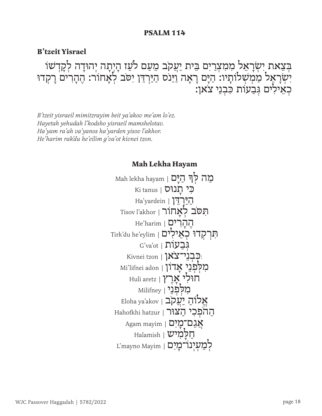#### **PSALM 114**

#### **B'tzeit Yisrael**

# בְּצֵאת יִשְׂרָאֵל מִמִצְרַיִם בֵּית יַעֲקֹב מֵעַם לֹעֵז הָיְתָה יְהוּדָה לְקָדְשֹוֹ<br>יִשְׂרָאֵל מַמִשִׁלוֹתָיו: הַיָּם רָאָה וַיַּנֹס הַיַּרְדֵּן יִסֹּב לְאָחוֹר: הֶהְרִים רָקְדוּ כֹאילים גִּבַעוֹת כִּבְנֵי צֹאן:

*B'tzeit yisraeil mimitzrayim beit ya'akov me'am lo'ez. Hayetah yehudah l'kodsho yisraeil mamshelotav. Ha'yam ra'ah va'yanos ha'yarden yisov l'akhor. He'harim rak'du he'eilim g'va'ot kivnei tzon.*

#### **Mah Lekha Hayam**

מה לְךְּ הַיַּם | Mah lekha hayam כי תנוּס | Ki tanus Ha'yardein | הַיַּרְדֵן תִסֹב לְאַחוֹר | Tisov l'akhor ההרים | He'harim תִרְקְדוּ כְאֵילִים | Tirk'du he'eylim  $G'$ גּבעות | G'va'ot E**בני־צֹאן** | Kivnei tzon מִלְפְנֵי אַדוֹן | Mi'lifnei adon Huli aretz | **אֲרֶץ** | מלפני | Milifney  $E$ אַלוה יעקב | Eloha ya'akov הַהֹפְכִי הַצוּר | Hahofkhi hatzur אֲגַם־מָיִם | Agam mayim חַלַמְיש | Halamish לְמַעָיָנוֹ־מַיִם | L'mayno Mayim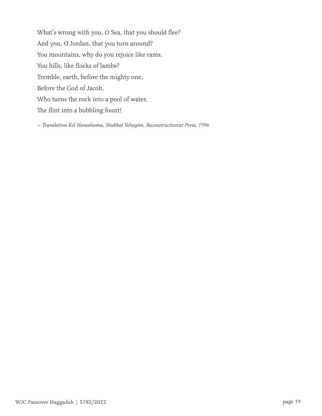What's wrong with you, O Sea, that you should flee? And you, O Jordan, that you turn around? You mountains, why do you rejoice like rams, You hills, like flocks of lambs? Tremble, earth, before the mighty one, Before the God of Jacob, Who turns the rock into a pool of water, The flint into a bubbling fount!

*— Translation Kol Haneshama, Shabbat Vehagim, Reconstructionist Press, 1996*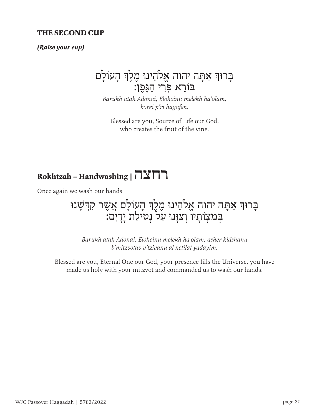#### **THE SECOND CUP**

*(Raise your cup)*

## בָרוּךְ אַתָּה יהוה אֱלֹהֵינוּ מֶלֶךְ הָעוֹלָם ּבּוֹרֵא פְּרִי הַגָּפֶן:

*Barukh atah Adonai, Eloheinu melekh ha'olam, borei p'ri hagafen.*

Blessed are you, Source of Life our God, who creates the fruit of the vine.

## **Rokhtzah – Handwashing | רחצה**

Once again we wash our hands

# בְּרוּךְ אַתָּה יהוה אֱלֹהֵינוּ מֶלֶךְ הָעָוֹלָם אֲשֶׁר קִדְּשָׁנוּ<br>בְּמִצְוֹתָיו וְצִוָּנוּ עַל נְטִילַת יָדָיִם:

*Barukh atah Adonai, Eloheinu melekh ha'olam, asher kidshanu b'mitzvotav v'tzivanu al netilat yadayim.*

Blessed are you, Eternal One our God, your presence fills the Universe, you have made us holy with your mitzvot and commanded us to wash our hands.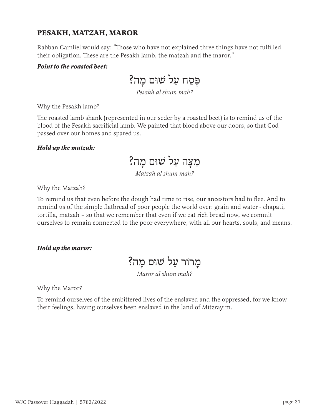#### **PESAKH, MATZAH, MAROR**

Rabban Gamliel would say: "Those who have not explained three things have not fulfilled their obligation. These are the Pesakh lamb, the matzah and the maror."

#### *Point to the roasted beet:*

פֵּסַח עַל שׁוּם מַה?

*Pesakh al shum mah?* 

Why the Pesakh lamb?

The roasted lamb shank (represented in our seder by a roasted beet) is to remind us of the blood of the Pesakh sacrificial lamb. We painted that blood above our doors, so that God passed over our homes and spared us.

#### *Hold up the matzah:*

# מַצָּה עַל שׁוּם מָה?

*Matzah al shum mah?* 

Why the Matzah?

To remind us that even before the dough had time to rise, our ancestors had to flee. And to remind us of the simple flatbread of poor people the world over: grain and water - chapati, tortilla, matzah – so that we remember that even if we eat rich bread now, we commit ourselves to remain connected to the poor everywhere, with all our hearts, souls, and means.

*Hold up the maror:*

מַרוֹר עַל שׁוּם מַה?

*Maror al shum mah?* 

Why the Maror?

To remind ourselves of the embittered lives of the enslaved and the oppressed, for we know their feelings, having ourselves been enslaved in the land of Mitzrayim.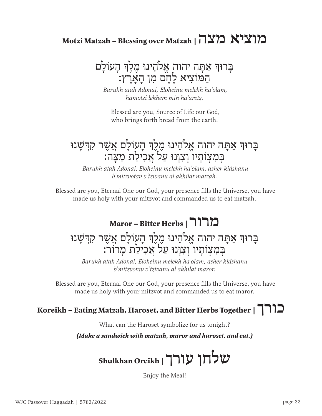# **Motzi Matzah – Blessing over Matzah | מצה מוציא**

# בְּרוּךְ אַתָּה יהוה אֱלֹהֵינוּ מֶלֶךְ הָעוֹלָם<br>הַמֹּוֹצִיא לֵחֵם מִן הַאַרֵץ:

 *Barukh atah Adonai, Eloheinu melekh ha'olam, hamotzi lekhem min ha'aretz.*

 Blessed are you, Source of Life our God, who brings forth bread from the earth.

# בְּרוּךְ אַתָּה יהוה אֱלֹהֵינוּ מֶלֶךְ הָעָוֹלָם אֲשֶׁר קִדְּשָׁנוּ<br>בִּמִצְוֹתֲיו וִצִוָּנוּ עַל אֲכִילַת מַצָּה**:**

 *Barukh atah Adonai, Eloheinu melekh ha'olam, asher kidshanu b'mitzvotav v'tzivanu al akhilat matzah.*

 Blessed are you, Eternal One our God, your presence fills the Universe, you have made us holy with your mitzvot and commanded us to eat matzah.

## **Maror – Bitter Herbs | מרור**

# בְּרוּךְ אַתָּה יהוה אֱלֹהֵינוּ מֶלֶךְ הָעוֹלָם אֲשֶׁר קִדְּשָׁנוּ<br>בִּמְצִוֹתַיו וְצִוַּנוּ עַל אֲכִילַת מַרוֹר:

*Barukh atah Adonai, Eloheinu melekh ha'olam, asher kidshanu b'mitzvotav v'tzivanu al akhilat maror.*

 Blessed are you, Eternal One our God, your presence fills the Universe, you have made us holy with your mitzvot and commanded us to eat maror.

## **Koreikh – Eating Matzah, Haroset, and Bitter Herbs Together | כורך**

What can the Haroset symbolize for us tonight?

*(Make a sandwich with matzah, maror and haroset, and eat.)*

**שלחן עורך | Oreikh Shulkhan**

Enjoy the Meal!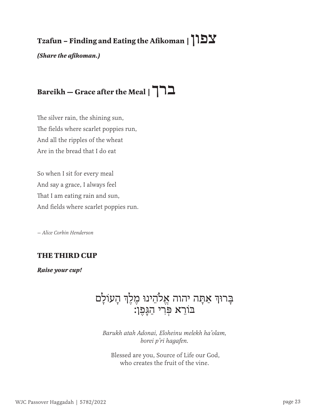## **Tzafun – Finding and Eating the Afikoman | צפון**

*(Share the afikoman.)*

### **Bareikh — Grace after the Meal | ברך**

The silver rain, the shining sun, The fields where scarlet poppies run, And all the ripples of the wheat Are in the bread that I do eat

So when I sit for every meal And say a grace, I always feel That I am eating rain and sun, And fields where scarlet poppies run.

*— Alice Corbin Henderson*

#### **THE THIRD CUP**

*Raise your cup!*

## בָרוּךְ אַתָּה יהוה אֱלֹהֵינוּ מֶלֶךְ הָעוֹלָם ּבֹורֵ א פְ רִ י הַ גָ פֶ ן:

*Barukh atah Adonai, Eloheinu melekh ha'olam, borei p'ri hagafen.*

 Blessed are you, Source of Life our God, who creates the fruit of the vine.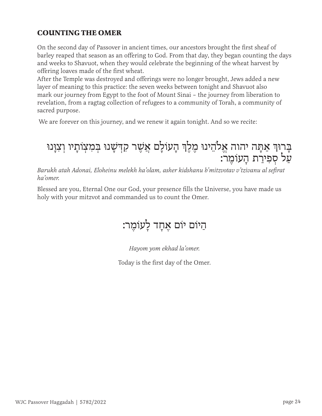#### **COUNTING THE OMER**

On the second day of Passover in ancient times, our ancestors brought the first sheaf of barley reaped that season as an offering to God. From that day, they began counting the days and weeks to Shavuot, when they would celebrate the beginning of the wheat harvest by offering loaves made of the first wheat.

After the Temple was destroyed and offerings were no longer brought, Jews added a new layer of meaning to this practice: the seven weeks between tonight and Shavuot also mark our journey from Egypt to the foot of Mount Sinai – the journey from liberation to revelation, from a ragtag collection of refugees to a community of Torah, a community of sacred purpose.

We are forever on this journey, and we renew it again tonight. And so we recite:

# בְּרוּךְ אַתָּה יהוה אֱלֹהֵינוּ מֶלֶךְ הָעוֹלָם אֲשֶׁר קִדְּשָׁנוּ בְּמִצְוֹתָיו וְצִוָּנוּ<br>עַל סִפִירַת הַעוֹמֵר:

*Barukh atah Adonai, Eloheinu melekh ha'olam, asher kidshanu b'mitzvotav v'tzivanu al sefirat ha'omer.*

Blessed are you, Eternal One our God, your presence fills the Universe, you have made us holy with your mitzvot and commanded us to count the Omer.

### ּהַיֹּוֹם יֹוֹם אֶחֲד לַעָּוֹמֵר:

*Hayom yom ekhad la'omer.*

Today is the first day of the Omer.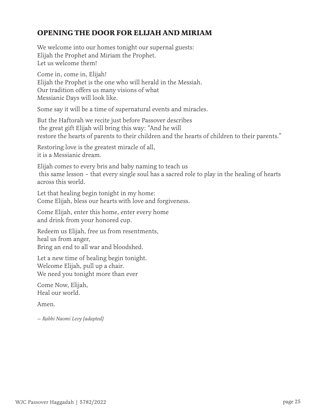#### **OPENING THE DOOR FOR ELIJAH AND MIRIAM**

We welcome into our homes tonight our supernal guests: Elijah the Prophet and Miriam the Prophet. Let us welcome them!

Come in, come in, Elijah! Elijah the Prophet is the one who will herald in the Messiah. Our tradition offers us many visions of what Messianic Days will look like.

Some say it will be a time of supernatural events and miracles.

But the Haftorah we recite just before Passover describes the great gift Elijah will bring this way: "And he will restore the hearts of parents to their children and the hearts of children to their parents."

Restoring love is the greatest miracle of all, it is a Messianic dream.

Elijah comes to every bris and baby naming to teach us this same lesson – that every single soul has a sacred role to play in the healing of hearts across this world.

Let that healing begin tonight in my home: Come Elijah, bless our hearts with love and forgiveness.

Come Elijah, enter this home, enter every home and drink from your honored cup.

Redeem us Elijah, free us from resentments, heal us from anger, Bring an end to all war and bloodshed.

Let a new time of healing begin tonight. Welcome Elijah, pull up a chair. We need you tonight more than ever

Come Now, Elijah, Heal our world.

Amen.

*— Rabbi Naomi Levy (adapted)*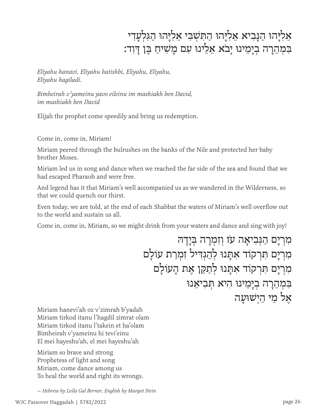# אֵלִיָּהוּ הַנָּבִיא אֵלִיָּהוּ הַתִּשְׁבִּי אֵלְיָּהוּ הַגִּלְעָדִי בִמְהֶרָה בִיַמְינוּ יַבֹא אֵלֵינוּ עָם מַשִׁיחַ בֶּן דַּוְד:

*Eliyahu hanavi, Eliyahu hatishbi, Eliyahu, Eliyahu, Eliyahu hagiladi.*

*Bimheirah v'yameinu yavo eileinu im mashiakh ben David, im mashiakh ben David*

Elijah the prophet come speedily and bring us redemption.

Come in, come in, Miriam!

Miriam peered through the bulrushes on the banks of the Nile and protected her baby brother Moses.

Miriam led us in song and dance when we reached the far side of the sea and found that we had escaped Pharaoh and were free.

And legend has it that Miriam's well accompanied us as we wandered in the Wilderness, so that we could quench our thirst.

Even today, we are told, at the end of each Shabbat the waters of Miriam's well overflow out to the world and sustain us all.

Come in, come in, Miriam, so we might drink from your waters and dance and sing with joy!

מִרְיָם הַנִּבִיאָה עֹז וְזִמְרָה בִּיָדָהּ מִרְיָם תִּרְקוֹד אִתֲנוּ לְהַגְדִּיל זִמְרַת עוֹלַם מִרְיָם תִּרְקוֹד אִתֲנוּ לְתַקֵּן אֵת הָעוֹלָם בִמְהֵרָה בִיָמֵינוּ הִיא תְּבִיאֵנוּ אֵל מֵי הַיִּשׁוּעַה

Miriam hanevi'ah oz v'zimrah b'yadah Miriam tirkod itanu l'hagdil zimrat olam Miriam tirkod itanu l'takein et ha'olam Bimheirah v'yameinu hi tevi'einu El mei hayeshu'ah, el mei hayeshu'ah

Miriam so brave and strong Prophetess of light and song Miriam, come dance among us To heal the world and right its wrongs.

*— Hebrew by Leila Gal Berner, English by Margot Stein*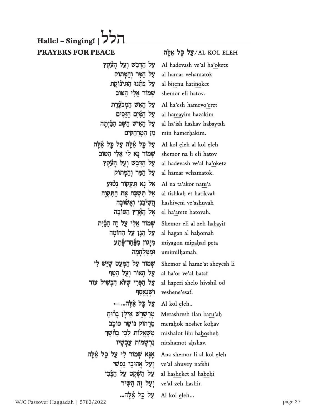# **Hallel – Singing! | הלל PRAYERS FOR PEACE**

עַל הַדְּבַשׁ וְעַל הַעַּקֵץ עַל הַמַּר וְהַמֵּתוֹק עַל כּתְּנוּ הַתִּינוֹקָת שמור אלי הטוב עַל האש המבערת עַל המים הזכים עַל הָאִישׁ הַשָּׁב הַבַּֿיְתָה מן המרחקים עַל כַּל אֵׁלֶּה עַל כַּל אַׁלָּה שמור נא לי אלי הטוב עַל הַדְּבַשׁ וְעַל הַעַּקֵץ עַל הַמֵּר וְהַמֵּתוֹק אל נא תַּעַקוֹר נטוֹעַ Al na ta'akor natu'a אַל תִּשְׁכַּח אֵת הַתִּקְוַה הַשְׁיּּבֵנִי וְאֲשׁוּבַה אֵל הַאֲרֵץ הַטּוֹבָה שמור אלי על זה הבית עַל הַגַּן עַל הַחוֹמַה מִיָּגוֹן מִפַּּחַד־פֶּֿתַע וממלחמה שמור על המעט שיש לי עַל הַאוֹר וְעַל הַטַּף עַל הַפּרִי שֵׁלֹא הִבְשִׁיל עוֹד ושנאסף .. Al kol eleh עַל כֵּל אֲלָה... מרשרש אילן ברוח al hasheket al habehi עַל הַשָּׂקַט עַל הַבֶּּכִי ...Al kol eleh עַל כַּל אַלְה...

#### AL KOL ELEH/על כל אלה

Al hadevash ve'al ha'oketz al hamar vehamatok al bitenu hatinoket shemor eli hatov. Al ha'esh hamevo'eret al hamayim hazakim al ha'ish hashav habaytah min hamerhakim. Al kol eleh al kol eleh shemor na li eli hatov al hadevash ve'al ha'oketz al hamar vehamatok. al tishkah et hatikvah hashiveni ve'ashuvah el ha'aretz hatovah. Shemor eli al zeh habayit al hagan al hahomah miyagon mipahad peta umimilhamah. Shemor al hame'at sheyesh li al ha'or ve'al hataf al haperi shelo hivshil od veshene'esaf. Merashresh ilan baru'ah merahok nosher kohav מרחוק נושר כוכב mishalot libi bahosheh משאלות לבי בחשד nirshamot aḥshav. Ana shemor li al kol eleh אָנָא שְׁמוֹר לִי עַל כָּל אֵלֶה ve'al ahuvey nafshi ve'al zeh hashir.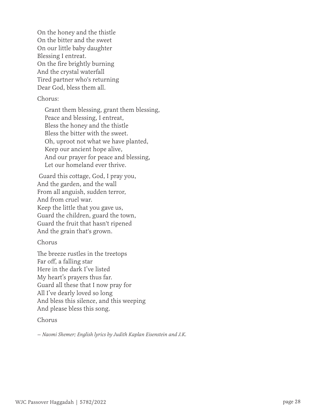On the honey and the thistle On the bitter and the sweet On our little baby daughter Blessing I entreat. On the fire brightly burning And the crystal waterfall Tired partner who's returning Dear God, bless them all.

#### Chorus:

Grant them blessing, grant them blessing, Peace and blessing, I entreat, Bless the honey and the thistle Bless the bitter with the sweet. Oh, uproot not what we have planted, Keep our ancient hope alive, And our prayer for peace and blessing, Let our homeland ever thrive.

 Guard this cottage, God, I pray you, And the garden, and the wall From all anguish, sudden terror, And from cruel war. Keep the little that you gave us, Guard the children, guard the town, Guard the fruit that hasn't ripened And the grain that's grown.

#### Chorus

The breeze rustles in the treetops Far off, a falling star Here in the dark I've listed My heart's prayers thus far. Guard all these that I now pray for All I've dearly loved so long And bless this silence, and this weeping And please bless this song.

#### Chorus

*— Naomi Shemer; English lyrics by Judith Kaplan Eisenstein and J.K.*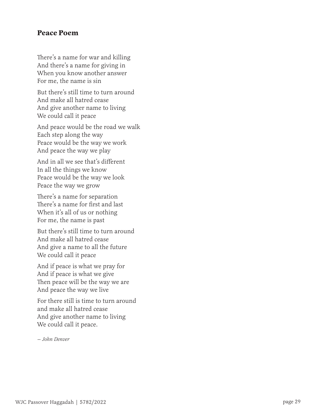#### **Peace Poem**

There's a name for war and killing And there's a name for giving in When you know another answer For me, the name is sin

But there's still time to turn around And make all hatred cease And give another name to living We could call it peace

And peace would be the road we walk Each step along the way Peace would be the way we work And peace the way we play

And in all we see that's different In all the things we know Peace would be the way we look Peace the way we grow

There's a name for separation There's a name for first and last When it's all of us or nothing For me, the name is past

But there's still time to turn around And make all hatred cease And give a name to all the future We could call it peace

And if peace is what we pray for And if peace is what we give Then peace will be the way we are And peace the way we live

For there still is time to turn around and make all hatred cease And give another name to living We could call it peace.

*— John Denver*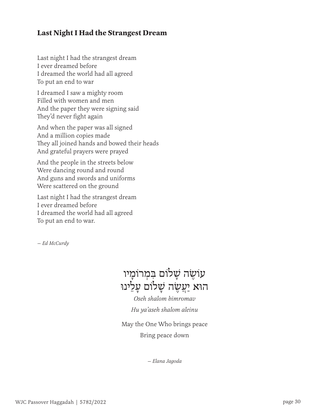#### **Last Night I Had the Strangest Dream**

Last night I had the strangest dream I ever dreamed before I dreamed the world had all agreed To put an end to war

I dreamed I saw a mighty room Filled with women and men And the paper they were signing said They'd never fight again

And when the paper was all signed And a million copies made They all joined hands and bowed their heads And grateful prayers were prayed

And the people in the streets below Were dancing round and round And guns and swords and uniforms Were scattered on the ground

Last night I had the strangest dream I ever dreamed before I dreamed the world had all agreed To put an end to war.

*— Ed McCurdy*

## עוֹשֶׂה שָׁלוֹם בִּמְרוֹמָיו הוּא יַעֲשֶׂה שָׁלֹוֹם עָלִינוּ

*Oseh shalom bimromav Hu ya'aseh shalom aleinu*

May the One Who brings peace Bring peace down

*— Elana Jagoda*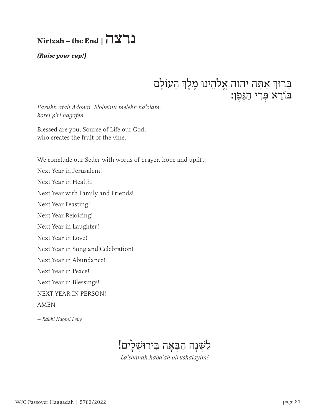## **Nirtzah – the End | נרצה**

*(Raise your cup!)*

# בְּרוּךְ אַתָּה יהוה אֱלֹהֵינוּ מֶלֶךְ הְעוֹלָם ּבּוֹרֵא פִּרִי הַגָּפֵן:

*Barukh atah Adonai, Eloheinu melekh ha'olam, borei p'ri hagafen.*

Blessed are you, Source of Life our God, who creates the fruit of the vine.

We conclude our Seder with words of prayer, hope and uplift:

Next Year in Jerusalem!

Next Year in Health!

Next Year with Family and Friends!

Next Year Feasting!

Next Year Rejoicing!

Next Year in Laughter!

Next Year in Love!

Next Year in Song and Celebration!

Next Year in Abundance!

Next Year in Peace!

Next Year in Blessings!

NEXT YEAR IN PERSON!

AMEN

*— Rabbi Naomi Levy*



*La'shanah haba'ah birushalayim!*